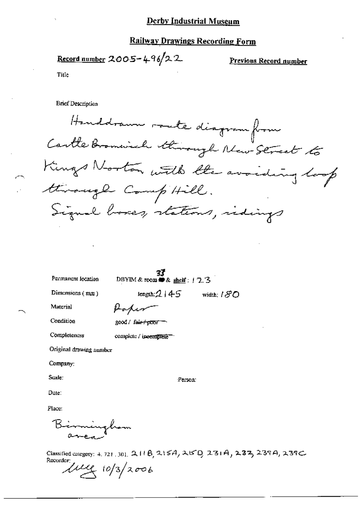## **Derby Industrial Museum**

## **Railway Drawings Recording Form**

<u>Record number</u> 2005-496/22

Previous Record number

Title

**Brief Description** 

Handdramm route diagram from Cartle Bromwich through New Street to Kings Norton with the avoiding loop through Comp'Hill. Signal boxes, stations, indings

Permanent location

**37**<br>DBYIM & room **#9** & shelf :  $\frac{1}{2}$ 3

Dimensions (mm)

length: $2145$  width:  $180$ 

Material

Poper

Condition

Completeness

good / fair+poor =

complete / incomplete-

Original drawing namber

Company:

Scale:

Person:

Date:

Place:

Birminghom

Classified category: 4, 721, 301, 2, 118, 215A, 25D, 231A, 237, 237A, 239C Recorder:

 $\mu_{4}$  10/3/2006